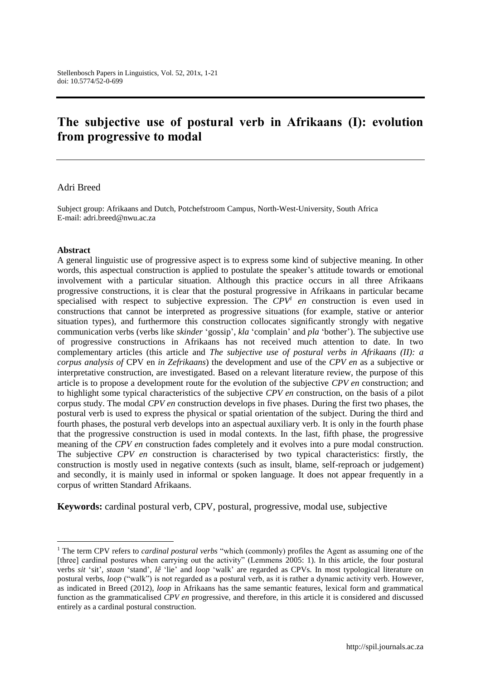# **The subjective use of postural verb in Afrikaans (I): evolution from progressive to modal**

#### Adri Breed

Subject group: Afrikaans and Dutch, Potchefstroom Campus, North-West-University, South Africa E-mail: adri.breed@nwu.ac.za

#### **Abstract**

 $\overline{a}$ 

A general linguistic use of progressive aspect is to express some kind of subjective meaning. In other words, this aspectual construction is applied to postulate the speaker's attitude towards or emotional involvement with a particular situation. Although this practice occurs in all three Afrikaans progressive constructions, it is clear that the postural progressive in Afrikaans in particular became specialised with respect to subjective expression. The  $CPV<sup>1</sup>$  en construction is even used in constructions that cannot be interpreted as progressive situations (for example, stative or anterior situation types), and furthermore this construction collocates significantly strongly with negative communication verbs (verbs like *skinder* 'gossip', *kla* 'complain' and *pla* 'bother'). The subjective use of progressive constructions in Afrikaans has not received much attention to date. In two complementary articles (this article and *The subjective use of postural verbs in Afrikaans (II): a corpus analysis of* CPV en *in Zefrikaans*) the development and use of the *CPV en* as a subjective or interpretative construction, are investigated. Based on a relevant literature review, the purpose of this article is to propose a development route for the evolution of the subjective *CPV en* construction; and to highlight some typical characteristics of the subjective *CPV en* construction, on the basis of a pilot corpus study. The modal *CPV en* construction develops in five phases. During the first two phases, the postural verb is used to express the physical or spatial orientation of the subject. During the third and fourth phases, the postural verb develops into an aspectual auxiliary verb. It is only in the fourth phase that the progressive construction is used in modal contexts. In the last, fifth phase, the progressive meaning of the *CPV en* construction fades completely and it evolves into a pure modal construction. The subjective *CPV en* construction is characterised by two typical characteristics: firstly, the construction is mostly used in negative contexts (such as insult, blame, self-reproach or judgement) and secondly, it is mainly used in informal or spoken language. It does not appear frequently in a corpus of written Standard Afrikaans.

**Keywords:** cardinal postural verb, CPV, postural, progressive, modal use, subjective

<sup>1</sup> The term CPV refers to *cardinal postural verbs* "which (commonly) profiles the Agent as assuming one of the [three] cardinal postures when carrying out the activity" (Lemmens 2005: 1). In this article, the four postural verbs *sit* 'sit'*, staan* 'stand'*, lê* 'lie' and *loop* 'walk' are regarded as CPVs. In most typological literature on postural verbs, *loop* ("walk") is not regarded as a postural verb, as it is rather a dynamic activity verb. However, as indicated in Breed (2012), *loop* in Afrikaans has the same semantic features, lexical form and grammatical function as the grammaticalised *CPV en* progressive, and therefore, in this article it is considered and discussed entirely as a cardinal postural construction.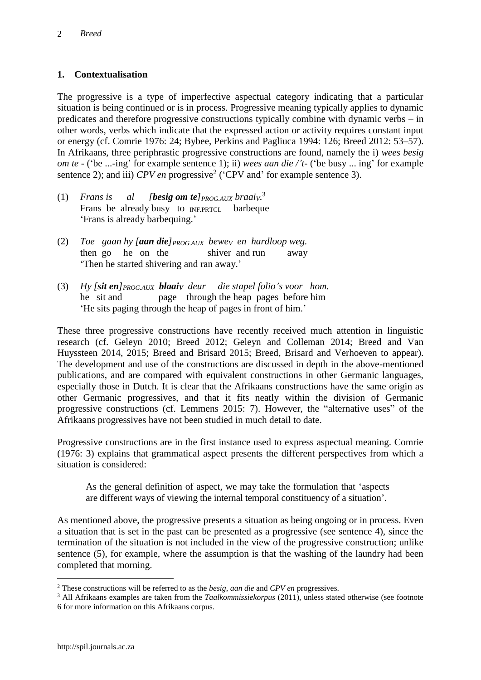### **1. Contextualisation**

The progressive is a type of imperfective aspectual category indicating that a particular situation is being continued or is in process. Progressive meaning typically applies to dynamic predicates and therefore progressive constructions typically combine with dynamic verbs – in other words, verbs which indicate that the expressed action or activity requires constant input or energy (cf. Comrie 1976: 24; Bybee, Perkins and Pagliuca 1994: 126; Breed 2012: 53–57). In Afrikaans, three periphrastic progressive constructions are found, namely the i) *wees besig om te* - ('be ...-ing' for example sentence 1); ii) *wees aan die /'t-* ('be busy ... ing' for example sentence 2); and iii)  $CPV$  *en* progressive<sup>2</sup> ('CPV and' for example sentence 3).

- (1) *Frans is* al [*besig om te*] $_{PROG.AUX}$  *braai* $_{V}$ <sup>3</sup> Frans be already busy to **INF.PRTCL** barbeque 'Frans is already barbequing.'
- (2) *Toe gaan hy [aan die]PROG.AUX beweV en hardloop weg.*  then go he on the shiver and run away 'Then he started shivering and ran away.'
- (3) *Hy [sit en]PROG.AUX blaaiV deur die stapel folio's voor hom.*  he sit and page through the heap pages before him 'He sits paging through the heap of pages in front of him.'

These three progressive constructions have recently received much attention in linguistic research (cf. Geleyn 2010; Breed 2012; Geleyn and Colleman 2014; Breed and Van Huyssteen 2014, 2015; Breed and Brisard 2015; Breed, Brisard and Verhoeven to appear). The development and use of the constructions are discussed in depth in the above-mentioned publications, and are compared with equivalent constructions in other Germanic languages, especially those in Dutch. It is clear that the Afrikaans constructions have the same origin as other Germanic progressives, and that it fits neatly within the division of Germanic progressive constructions (cf. Lemmens 2015: 7). However, the "alternative uses" of the Afrikaans progressives have not been studied in much detail to date.

Progressive constructions are in the first instance used to express aspectual meaning. Comrie (1976: 3) explains that grammatical aspect presents the different perspectives from which a situation is considered:

As the general definition of aspect, we may take the formulation that 'aspects are different ways of viewing the internal temporal constituency of a situation'.

As mentioned above, the progressive presents a situation as being ongoing or in process. Even a situation that is set in the past can be presented as a progressive (see sentence 4), since the termination of the situation is not included in the view of the progressive construction; unlike sentence (5), for example, where the assumption is that the washing of the laundry had been completed that morning.

<sup>2</sup> These constructions will be referred to as the *besig*, *aan die* and *CPV en* progressives.

<sup>3</sup> All Afrikaans examples are taken from the *Taalkommissiekorpus* (2011), unless stated otherwise (see footnote 6 for more information on this Afrikaans corpus.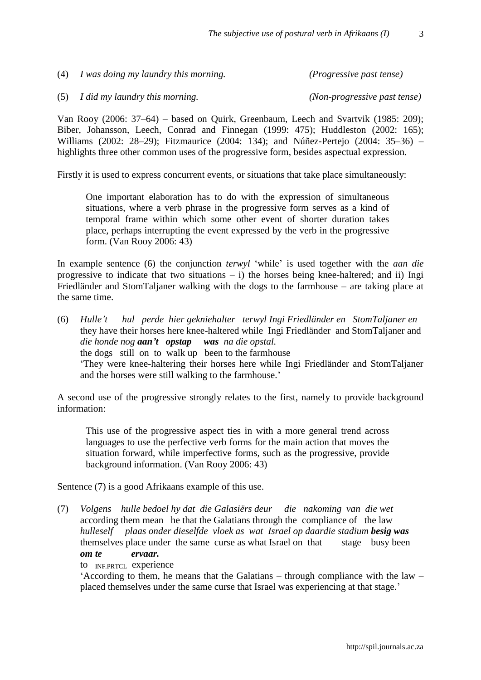Van Rooy (2006: 37–64) – based on Quirk, Greenbaum, Leech and Svartvik (1985: 209); Biber, Johansson, Leech, Conrad and Finnegan (1999: 475); Huddleston (2002: 165); Williams (2002: 28–29); Fitzmaurice (2004: 134); and Núñez-Pertejo (2004: 35–36) – highlights three other common uses of the progressive form, besides aspectual expression.

Firstly it is used to express concurrent events, or situations that take place simultaneously:

One important elaboration has to do with the expression of simultaneous situations, where a verb phrase in the progressive form serves as a kind of temporal frame within which some other event of shorter duration takes place, perhaps interrupting the event expressed by the verb in the progressive form. (Van Rooy 2006: 43)

In example sentence (6) the conjunction *terwyl* 'while' is used together with the *aan die*  progressive to indicate that two situations  $- i$ ) the horses being knee-haltered; and ii) Ingi Friedländer and StomTaljaner walking with the dogs to the farmhouse – are taking place at the same time.

(6) *Hulle't hul perde hier gekniehalter terwyl Ingi Friedländer en StomTaljaner en*  they have their horses here knee-haltered while Ingi Friedländer and StomTaljaner and *die honde nog aan't opstap was na die opstal.*  the dogs still on to walk up been to the farmhouse 'They were knee-haltering their horses here while Ingi Friedländer and StomTaljaner and the horses were still walking to the farmhouse.'

A second use of the progressive strongly relates to the first, namely to provide background information:

This use of the progressive aspect ties in with a more general trend across languages to use the perfective verb forms for the main action that moves the situation forward, while imperfective forms, such as the progressive, provide background information. (Van Rooy 2006: 43)

Sentence (7) is a good Afrikaans example of this use.

(7) *Volgens hulle bedoel hy dat die Galasiërs deur die nakoming van die wet*  according them mean he that the Galatians through the compliance of the law *hulleself plaas onder dieselfde vloek as wat Israel op daardie stadium besig was* themselves place under the same curse as what Israel on that stage busy been *om te ervaar.* 

to INF.PRTCL experience

'According to them, he means that the Galatians – through compliance with the law – placed themselves under the same curse that Israel was experiencing at that stage.'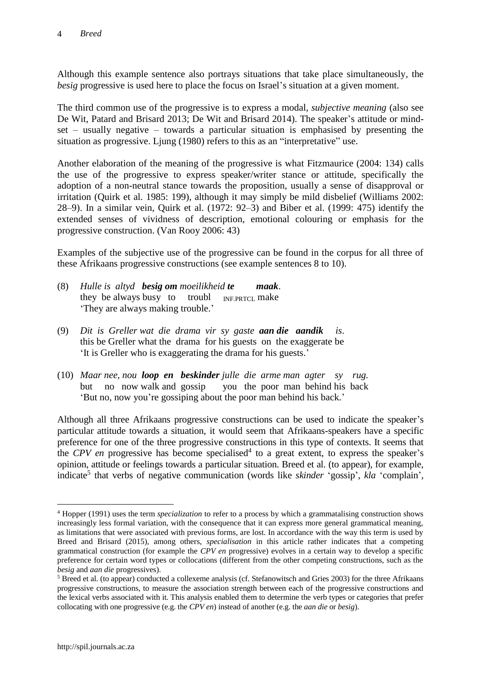Although this example sentence also portrays situations that take place simultaneously, the *besig* progressive is used here to place the focus on Israel's situation at a given moment.

The third common use of the progressive is to express a modal, *subjective meaning* (also see De Wit, Patard and Brisard 2013; De Wit and Brisard 2014). The speaker's attitude or mindset – usually negative – towards a particular situation is emphasised by presenting the situation as progressive. Ljung (1980) refers to this as an "interpretative" use.

Another elaboration of the meaning of the progressive is what Fitzmaurice (2004: 134) calls the use of the progressive to express speaker/writer stance or attitude, specifically the adoption of a non-neutral stance towards the proposition, usually a sense of disapproval or irritation (Quirk et al. 1985: 199), although it may simply be mild disbelief (Williams 2002: 28–9). In a similar vein, Quirk et al. (1972: 92–3) and Biber et al. (1999: 475) identify the extended senses of vividness of description, emotional colouring or emphasis for the progressive construction. (Van Rooy 2006: 43)

Examples of the subjective use of the progressive can be found in the corpus for all three of these Afrikaans progressive constructions (see example sentences 8 to 10).

- (8) *Hulle is altyd besig om moeilikheid te maak*. they be always busy to troubl  $_{INFPRTCL}$  make 'They are always making trouble.'
- (9) *Dit is Greller wat die drama vir sy gaste aan die aandik is*. this be Greller what the drama for his guests on the exaggerate be 'It is Greller who is exaggerating the drama for his guests.'
- (10) *Maar nee, nou loop en beskinder julle die arme man agter sy rug.* but no now walk and gossip you the poor man behind his back 'But no, now you're gossiping about the poor man behind his back.'

Although all three Afrikaans progressive constructions can be used to indicate the speaker's particular attitude towards a situation, it would seem that Afrikaans-speakers have a specific preference for one of the three progressive constructions in this type of contexts. It seems that the *CPV en* progressive has become specialised<sup>4</sup> to a great extent, to express the speaker's opinion, attitude or feelings towards a particular situation. Breed et al. (to appear), for example, indicate<sup>5</sup> that verbs of negative communication (words like *skinder* 'gossip', *kla* 'complain',

<sup>4</sup> Hopper (1991) uses the term *specialization* to refer to a process by which a grammatalising construction shows increasingly less formal variation, with the consequence that it can express more general grammatical meaning, as limitations that were associated with previous forms, are lost. In accordance with the way this term is used by Breed and Brisard (2015), among others, *specialisation* in this article rather indicates that a competing grammatical construction (for example the *CPV en* progressive) evolves in a certain way to develop a specific preference for certain word types or collocations (different from the other competing constructions, such as the *besig* and *aan die* progressives).

<sup>5</sup> Breed et al. (to appear) conducted a collexeme analysis (cf. Stefanowitsch and Gries 2003) for the three Afrikaans progressive constructions, to measure the association strength between each of the progressive constructions and the lexical verbs associated with it. This analysis enabled them to determine the verb types or categories that prefer collocating with one progressive (e.g. the *CPV en*) instead of another (e.g. the *aan die* or *besig*).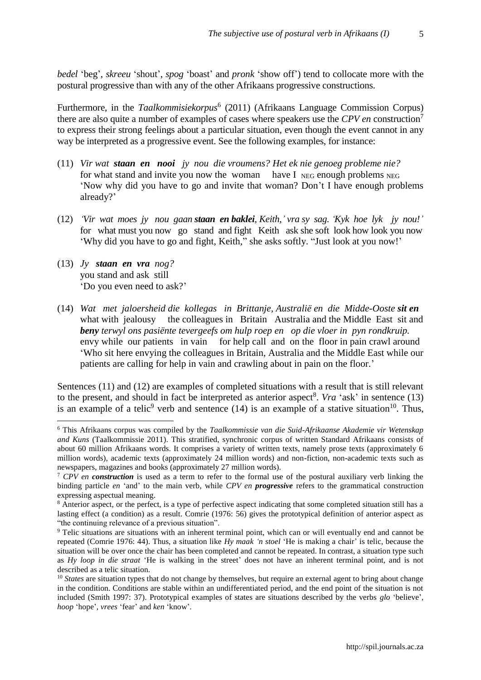*bedel* 'beg', *skreeu* 'shout', *spog* 'boast' and *pronk* 'show off') tend to collocate more with the postural progressive than with any of the other Afrikaans progressive constructions.

Furthermore, in the *Taalkommisiekorpus*<sup>6</sup> (2011) (Afrikaans Language Commission Corpus) there are also quite a number of examples of cases where speakers use the *CPV en* construction<sup>7</sup> to express their strong feelings about a particular situation, even though the event cannot in any way be interpreted as a progressive event. See the following examples, for instance:

- (11) *Vir wat staan en nooi jy nou die vroumens? Het ek nie genoeg probleme nie?*  for what stand and invite you now the woman have I  $_{\text{NEG}}$  enough problems  $_{\text{NEG}}$ 'Now why did you have to go and invite that woman? Don't I have enough problems already?'
- (12) *'Vir wat moes jy nou gaan staan en baklei, Keith,' vra sy sag. 'Kyk hoe lyk jy nou!'* for what must you now go stand and fight Keith ask she soft look how look you now 'Why did you have to go and fight, Keith," she asks softly. "Just look at you now!'
- (13) *Jy staan en vra nog?* you stand and ask still 'Do you even need to ask?'

 $\overline{a}$ 

(14) *Wat met jaloersheid die kollegas in Brittanje, Australië en die Midde-Ooste sit en*  what with jealousy the colleagues in Britain Australia and the Middle East sit and *beny terwyl ons pasiënte tevergeefs om hulp roep en op die vloer in pyn rondkruip.* envy while our patients in vain for help call and on the floor in pain crawl around 'Who sit here envying the colleagues in Britain, Australia and the Middle East while our patients are calling for help in vain and crawling about in pain on the floor.'

Sentences (11) and (12) are examples of completed situations with a result that is still relevant to the present, and should in fact be interpreted as anterior aspect<sup>8</sup>. *Vra* 'ask' in sentence (13) is an example of a telic<sup>9</sup> verb and sentence (14) is an example of a stative situation<sup>10</sup>. Thus,

<sup>6</sup> This Afrikaans corpus was compiled by the *Taalkommissie van die Suid-Afrikaanse Akademie vir Wetenskap and Kuns* (Taalkommissie 2011). This stratified, synchronic corpus of written Standard Afrikaans consists of about 60 million Afrikaans words. It comprises a variety of written texts, namely prose texts (approximately 6 million words), academic texts (approximately 24 million words) and non-fiction, non-academic texts such as newspapers, magazines and books (approximately 27 million words).

<sup>7</sup> *CPV en construction* is used as a term to refer to the formal use of the postural auxiliary verb linking the binding particle *en* 'and' to the main verb, while *CPV en progressive* refers to the grammatical construction expressing aspectual meaning.

<sup>8</sup> Anterior aspect, or the perfect, is a type of perfective aspect indicating that some completed situation still has a lasting effect (a condition) as a result. Comrie (1976: 56) gives the prototypical definition of anterior aspect as "the continuing relevance of a previous situation".

<sup>9</sup> Telic situations are situations with an inherent terminal point, which can or will eventually end and cannot be repeated (Comrie 1976: 44). Thus, a situation like *Hy maak 'n stoel* 'He is making a chair' is telic, because the situation will be over once the chair has been completed and cannot be repeated. In contrast, a situation type such as *Hy loop in die straat* 'He is walking in the street' does not have an inherent terminal point, and is not described as a telic situation.

<sup>&</sup>lt;sup>10</sup> *States* are situation types that do not change by themselves, but require an external agent to bring about change in the condition. Conditions are stable within an undifferentiated period, and the end point of the situation is not included (Smith 1997: 37). Prototypical examples of states are situations described by the verbs *glo* 'believe', *hoop* 'hope', *vrees* 'fear' and *ken* 'know'.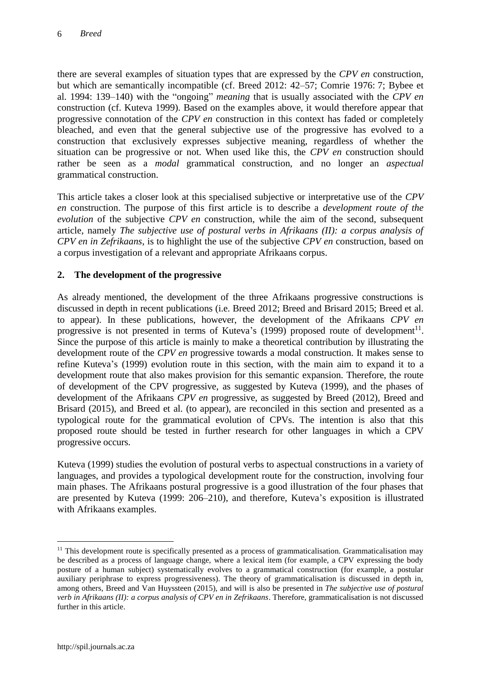there are several examples of situation types that are expressed by the *CPV en* construction, but which are semantically incompatible (cf. Breed 2012: 42–57; Comrie 1976: 7; Bybee et al. 1994: 139–140) with the "ongoing" *meaning* that is usually associated with the *CPV en* construction (cf. Kuteva 1999). Based on the examples above, it would therefore appear that progressive connotation of the *CPV en* construction in this context has faded or completely bleached, and even that the general subjective use of the progressive has evolved to a construction that exclusively expresses subjective meaning, regardless of whether the situation can be progressive or not. When used like this, the *CPV en* construction should rather be seen as a *modal* grammatical construction, and no longer an *aspectual* grammatical construction.

This article takes a closer look at this specialised subjective or interpretative use of the *CPV en* construction. The purpose of this first article is to describe a *development route of the evolution* of the subjective *CPV en* construction, while the aim of the second, subsequent article, namely *The subjective use of postural verbs in Afrikaans (II): a corpus analysis of CPV en in Zefrikaans*, is to highlight the use of the subjective *CPV en* construction, based on a corpus investigation of a relevant and appropriate Afrikaans corpus.

# **2. The development of the progressive**

As already mentioned, the development of the three Afrikaans progressive constructions is discussed in depth in recent publications (i.e. Breed 2012; Breed and Brisard 2015; Breed et al. to appear). In these publications, however, the development of the Afrikaans *CPV en* progressive is not presented in terms of Kuteva's  $(1999)$  proposed route of development<sup>11</sup>. Since the purpose of this article is mainly to make a theoretical contribution by illustrating the development route of the *CPV en* progressive towards a modal construction. It makes sense to refine Kuteva's (1999) evolution route in this section, with the main aim to expand it to a development route that also makes provision for this semantic expansion. Therefore, the route of development of the CPV progressive, as suggested by Kuteva (1999), and the phases of development of the Afrikaans *CPV en* progressive, as suggested by Breed (2012), Breed and Brisard (2015), and Breed et al. (to appear), are reconciled in this section and presented as a typological route for the grammatical evolution of CPVs. The intention is also that this proposed route should be tested in further research for other languages in which a CPV progressive occurs.

Kuteva (1999) studies the evolution of postural verbs to aspectual constructions in a variety of languages, and provides a typological development route for the construction, involving four main phases. The Afrikaans postural progressive is a good illustration of the four phases that are presented by Kuteva (1999: 206–210), and therefore, Kuteva's exposition is illustrated with Afrikaans examples.

<sup>&</sup>lt;sup>11</sup> This development route is specifically presented as a process of grammaticalisation. Grammaticalisation may be described as a process of language change, where a lexical item (for example, a CPV expressing the body posture of a human subject) systematically evolves to a grammatical construction (for example, a postular auxiliary periphrase to express progressiveness). The theory of grammaticalisation is discussed in depth in, among others, Breed and Van Huyssteen (2015), and will is also be presented in *The subjective use of postural verb in Afrikaans (II): a corpus analysis of CPV en in Zefrikaans*. Therefore, grammaticalisation is not discussed further in this article.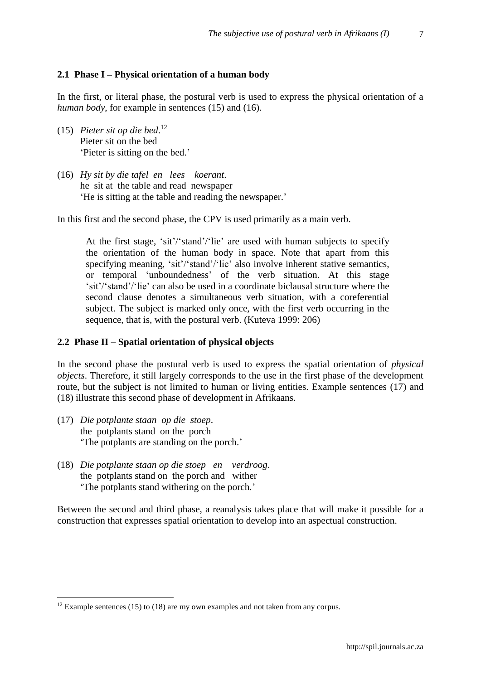#### **2.1 Phase I – Physical orientation of a human body**

In the first, or literal phase, the postural verb is used to express the physical orientation of a *human body*, for example in sentences (15) and (16).

- (15) *Pieter sit op die bed*. 12 Pieter sit on the bed 'Pieter is sitting on the bed.'
- (16) *Hy sit by die tafel en lees koerant*. he sit at the table and read newspaper 'He is sitting at the table and reading the newspaper.'

In this first and the second phase, the CPV is used primarily as a main verb.

At the first stage, 'sit'/'stand'/'lie' are used with human subjects to specify the orientation of the human body in space. Note that apart from this specifying meaning, 'sit'/'stand'/'lie' also involve inherent stative semantics, or temporal 'unboundedness' of the verb situation. At this stage 'sit'/'stand'/'lie' can also be used in a coordinate biclausal structure where the second clause denotes a simultaneous verb situation, with a coreferential subject. The subject is marked only once, with the first verb occurring in the sequence, that is, with the postural verb. (Kuteva 1999: 206)

#### **2.2 Phase II – Spatial orientation of physical objects**

In the second phase the postural verb is used to express the spatial orientation of *physical objects*. Therefore, it still largely corresponds to the use in the first phase of the development route, but the subject is not limited to human or living entities. Example sentences (17) and (18) illustrate this second phase of development in Afrikaans.

(17) *Die potplante staan op die stoep*. the potplants stand on the porch 'The potplants are standing on the porch.'

 $\overline{a}$ 

(18) *Die potplante staan op die stoep en verdroog*. the potplants stand on the porch and wither 'The potplants stand withering on the porch.'

Between the second and third phase, a reanalysis takes place that will make it possible for a construction that expresses spatial orientation to develop into an aspectual construction.

 $12$  Example sentences (15) to (18) are my own examples and not taken from any corpus.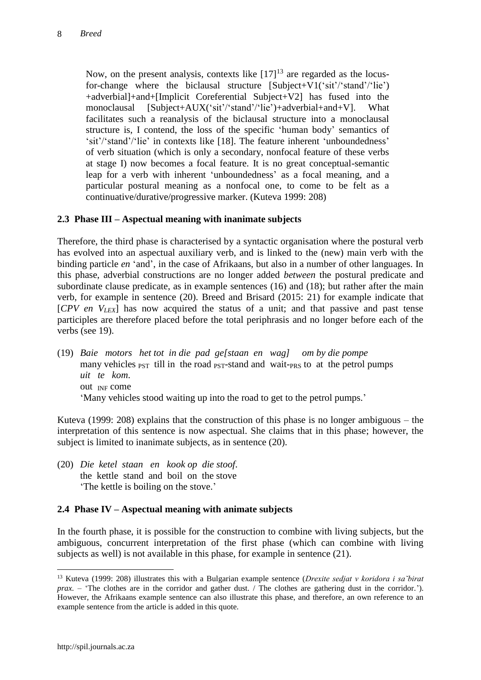Now, on the present analysis, contexts like  $[17]^{13}$  are regarded as the locusfor-change where the biclausal structure [Subject+V1('sit'/'stand'/'lie') +adverbial]+and+[Implicit Coreferential Subject+V2] has fused into the monoclausal [Subject+AUX('sit'/'stand'/'lie')+adverbial+and+V]. What facilitates such a reanalysis of the biclausal structure into a monoclausal structure is, I contend, the loss of the specific 'human body' semantics of 'sit'/'stand'/'lie' in contexts like [18]. The feature inherent 'unboundedness' of verb situation (which is only a secondary, nonfocal feature of these verbs at stage I) now becomes a focal feature. It is no great conceptual-semantic leap for a verb with inherent 'unboundedness' as a focal meaning, and a particular postural meaning as a nonfocal one, to come to be felt as a continuative/durative/progressive marker. (Kuteva 1999: 208)

# **2.3 Phase III – Aspectual meaning with inanimate subjects**

Therefore, the third phase is characterised by a syntactic organisation where the postural verb has evolved into an aspectual auxiliary verb, and is linked to the (new) main verb with the binding particle *en* 'and', in the case of Afrikaans, but also in a number of other languages. In this phase, adverbial constructions are no longer added *between* the postural predicate and subordinate clause predicate, as in example sentences (16) and (18); but rather after the main verb, for example in sentence (20). Breed and Brisard (2015: 21) for example indicate that [*CPV en VLEX*] has now acquired the status of a unit; and that passive and past tense participles are therefore placed before the total periphrasis and no longer before each of the verbs (see 19).

(19) *Baie motors het tot in die pad ge[staan en wag] om by die pompe*  many vehicles  $_{\text{PST}}$  till in the road  $_{\text{PST}}$ -stand and wait- $_{\text{PRS}}$  to at the petrol pumps *uit te kom*. out INF come 'Many vehicles stood waiting up into the road to get to the petrol pumps.'

Kuteva (1999: 208) explains that the construction of this phase is no longer ambiguous – the interpretation of this sentence is now aspectual. She claims that in this phase; however, the subject is limited to inanimate subjects, as in sentence (20).

(20) *Die ketel staan en kook op die stoof*. the kettle stand and boil on the stove 'The kettle is boiling on the stove.'

### **2.4 Phase IV – Aspectual meaning with animate subjects**

In the fourth phase, it is possible for the construction to combine with living subjects, but the ambiguous, concurrent interpretation of the first phase (which can combine with living subjects as well) is not available in this phase, for example in sentence (21).

<sup>13</sup> Kuteva (1999: 208) illustrates this with a Bulgarian example sentence (*Drexite sedjat v koridora i sa˘birat prax. –* 'The clothes are in the corridor and gather dust. / The clothes are gathering dust in the corridor.'). However, the Afrikaans example sentence can also illustrate this phase, and therefore, an own reference to an example sentence from the article is added in this quote.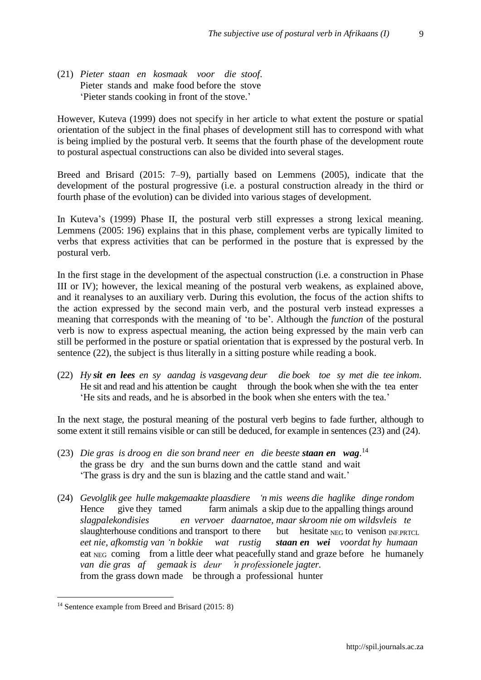(21) *Pieter staan en kosmaak voor die stoof*. Pieter stands and make food before the stove 'Pieter stands cooking in front of the stove.'

However, Kuteva (1999) does not specify in her article to what extent the posture or spatial orientation of the subject in the final phases of development still has to correspond with what is being implied by the postural verb. It seems that the fourth phase of the development route to postural aspectual constructions can also be divided into several stages.

Breed and Brisard (2015: 7–9), partially based on Lemmens (2005), indicate that the development of the postural progressive (i.e. a postural construction already in the third or fourth phase of the evolution) can be divided into various stages of development.

In Kuteva's (1999) Phase II, the postural verb still expresses a strong lexical meaning. Lemmens (2005: 196) explains that in this phase, complement verbs are typically limited to verbs that express activities that can be performed in the posture that is expressed by the postural verb.

In the first stage in the development of the aspectual construction (i.e. a construction in Phase III or IV); however, the lexical meaning of the postural verb weakens, as explained above, and it reanalyses to an auxiliary verb. During this evolution, the focus of the action shifts to the action expressed by the second main verb, and the postural verb instead expresses a meaning that corresponds with the meaning of 'to be'. Although the *function* of the postural verb is now to express aspectual meaning, the action being expressed by the main verb can still be performed in the posture or spatial orientation that is expressed by the postural verb. In sentence (22), the subject is thus literally in a sitting posture while reading a book.

(22) *Hy sit en lees en sy aandag is vasgevang deur die boek toe sy met di*e *tee inkom*. He sit and read and his attention be caught through the book when she with the tea enter 'He sits and reads, and he is absorbed in the book when she enters with the tea.'

In the next stage, the postural meaning of the postural verb begins to fade further, although to some extent it still remains visible or can still be deduced, for example in sentences (23) and (24).

- (23) *Die gras is droog en die son brand neer en die beeste staan en wag*. 14 the grass be dry and the sun burns down and the cattle stand and wait 'The grass is dry and the sun is blazing and the cattle stand and wait.'
- (24) *Gevolglik gee hulle makgemaakte plaasdiere 'n mis weens die haglike dinge rondom* Hence give they tamed farm animals a skip due to the appalling things around *slagpalekondisies en vervoer daarnatoe, maar skroom nie om wildsvleis te*  slaughterhouse conditions and transport to there but hesitate  $_{NEG}$  to venison  $_{INF.PRTCL}$ *eet nie, afkomstig van 'n bokkie wat rustig staan en wei voordat hy humaan* eat NEG coming from a little deer what peacefully stand and graze before he humanely *van die gras af gemaak is deur 'n professionele jagter.*  from the grass down made be through a professional hunter

<sup>&</sup>lt;sup>14</sup> Sentence example from Breed and Brisard (2015: 8)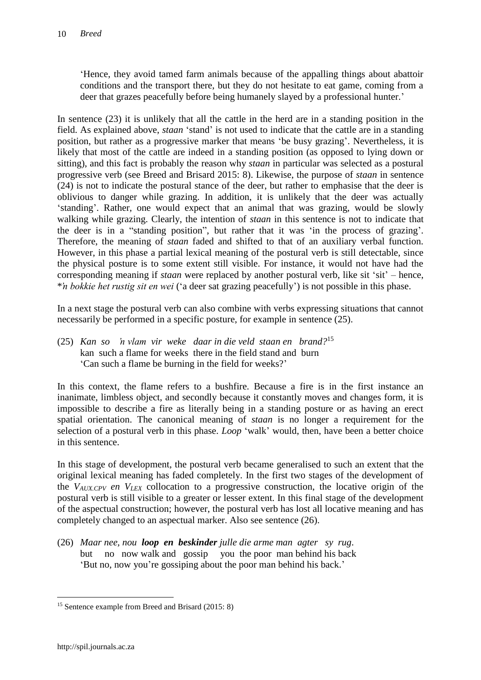'Hence, they avoid tamed farm animals because of the appalling things about abattoir conditions and the transport there, but they do not hesitate to eat game, coming from a deer that grazes peacefully before being humanely slayed by a professional hunter.'

In sentence (23) it is unlikely that all the cattle in the herd are in a standing position in the field. As explained above, *staan* 'stand' is not used to indicate that the cattle are in a standing position, but rather as a progressive marker that means 'be busy grazing'. Nevertheless, it is likely that most of the cattle are indeed in a standing position (as opposed to lying down or sitting), and this fact is probably the reason why *staan* in particular was selected as a postural progressive verb (see Breed and Brisard 2015: 8). Likewise, the purpose of *staan* in sentence (24) is not to indicate the postural stance of the deer, but rather to emphasise that the deer is oblivious to danger while grazing. In addition, it is unlikely that the deer was actually 'standing'. Rather, one would expect that an animal that was grazing, would be slowly walking while grazing. Clearly, the intention of *staan* in this sentence is not to indicate that the deer is in a "standing position", but rather that it was 'in the process of grazing'. Therefore, the meaning of *staan* faded and shifted to that of an auxiliary verbal function. However, in this phase a partial lexical meaning of the postural verb is still detectable, since the physical posture is to some extent still visible. For instance, it would not have had the corresponding meaning if *staan* were replaced by another postural verb, like sit 'sit' – hence, \**'n bokkie het rustig sit en wei* ('a deer sat grazing peacefully') is not possible in this phase.

In a next stage the postural verb can also combine with verbs expressing situations that cannot necessarily be performed in a specific posture, for example in sentence (25).

(25) *Kan so 'n vlam vir weke daar in die veld staan en brand?*<sup>15</sup> kan such a flame for weeks there in the field stand and burn 'Can such a flame be burning in the field for weeks?'

In this context, the flame refers to a bushfire. Because a fire is in the first instance an inanimate, limbless object, and secondly because it constantly moves and changes form, it is impossible to describe a fire as literally being in a standing posture or as having an erect spatial orientation. The canonical meaning of *staan* is no longer a requirement for the selection of a postural verb in this phase. *Loop* 'walk' would, then, have been a better choice in this sentence.

In this stage of development, the postural verb became generalised to such an extent that the original lexical meaning has faded completely. In the first two stages of the development of the *VAUX.CPV en VLEX* collocation to a progressive construction, the locative origin of the postural verb is still visible to a greater or lesser extent. In this final stage of the development of the aspectual construction; however, the postural verb has lost all locative meaning and has completely changed to an aspectual marker. Also see sentence (26).

(26) *Maar nee, nou loop en beskinder julle die arme man agter sy rug*. but no now walk and gossip you the poor man behind his back 'But no, now you're gossiping about the poor man behind his back.'

<sup>&</sup>lt;sup>15</sup> Sentence example from Breed and Brisard (2015: 8)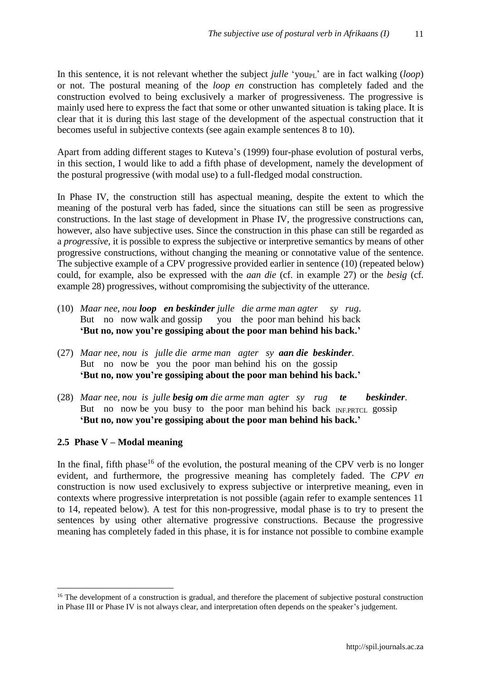In this sentence, it is not relevant whether the subject *julle* 'you<sub>PL</sub>' are in fact walking (*loop*) or not. The postural meaning of the *loop en* construction has completely faded and the construction evolved to being exclusively a marker of progressiveness. The progressive is mainly used here to express the fact that some or other unwanted situation is taking place. It is clear that it is during this last stage of the development of the aspectual construction that it becomes useful in subjective contexts (see again example sentences 8 to 10).

Apart from adding different stages to Kuteva's (1999) four-phase evolution of postural verbs, in this section, I would like to add a fifth phase of development, namely the development of the postural progressive (with modal use) to a full-fledged modal construction.

In Phase IV, the construction still has aspectual meaning, despite the extent to which the meaning of the postural verb has faded, since the situations can still be seen as progressive constructions. In the last stage of development in Phase IV, the progressive constructions can, however, also have subjective uses. Since the construction in this phase can still be regarded as a *progressive*, it is possible to express the subjective or interpretive semantics by means of other progressive constructions, without changing the meaning or connotative value of the sentence. The subjective example of a CPV progressive provided earlier in sentence (10) (repeated below) could, for example, also be expressed with the *aan die* (cf. in example 27) or the *besig* (cf. example 28) progressives, without compromising the subjectivity of the utterance.

- (10) *Maar nee, nou loop en beskinder julle die arme man agter sy rug*. But no now walk and gossip you the poor man behind his back **'But no, now you're gossiping about the poor man behind his back.'**
- (27) *Maar nee, nou is julle die arme man agter sy aan die beskinder*. But no now be you the poor man behind his on the gossip **'But no, now you're gossiping about the poor man behind his back.'**
- (28) *Maar nee, nou is julle besig om die arme man agter sy rug te beskinder*. But no now be you busy to the poor man behind his back  $_{\text{INFRTCL}}$  gossip **'But no, now you're gossiping about the poor man behind his back.'**

#### **2.5 Phase V – Modal meaning**

 $\overline{a}$ 

In the final, fifth phase<sup>16</sup> of the evolution, the postural meaning of the CPV verb is no longer evident, and furthermore, the progressive meaning has completely faded. The *CPV en* construction is now used exclusively to express subjective or interpretive meaning, even in contexts where progressive interpretation is not possible (again refer to example sentences 11 to 14, repeated below). A test for this non-progressive, modal phase is to try to present the sentences by using other alternative progressive constructions. Because the progressive meaning has completely faded in this phase, it is for instance not possible to combine example

<sup>&</sup>lt;sup>16</sup> The development of a construction is gradual, and therefore the placement of subjective postural construction in Phase III or Phase IV is not always clear, and interpretation often depends on the speaker's judgement.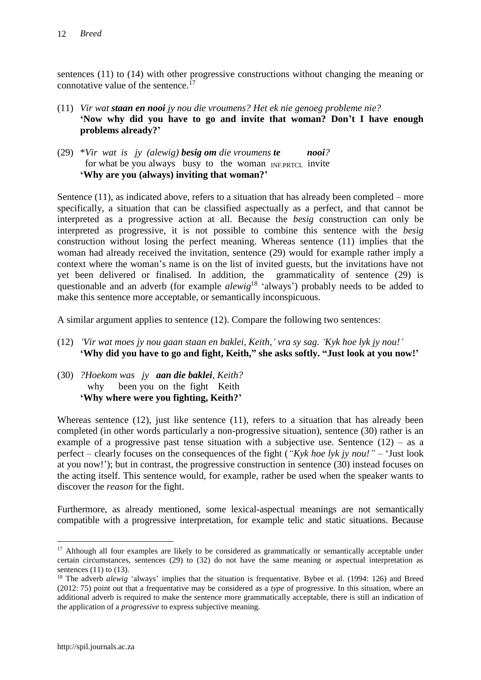sentences (11) to (14) with other progressive constructions without changing the meaning or connotative value of the sentence.<sup> $17$ </sup>

- (11) *Vir wat staan en nooi jy nou die vroumens? Het ek nie genoeg probleme nie?*  **'Now why did you have to go and invite that woman? Don't I have enough problems already?'**
- (29) \**Vir wat is jy (alewig) besig om die vroumens te nooi?* for what be you always busy to the woman INF.PRTCL invite **'Why are you (always) inviting that woman?'**

Sentence  $(11)$ , as indicated above, refers to a situation that has already been completed – more specifically, a situation that can be classified aspectually as a perfect, and that cannot be interpreted as a progressive action at all. Because the *besig* construction can only be interpreted as progressive, it is not possible to combine this sentence with the *besig* construction without losing the perfect meaning. Whereas sentence (11) implies that the woman had already received the invitation, sentence (29) would for example rather imply a context where the woman's name is on the list of invited guests, but the invitations have not yet been delivered or finalised. In addition, the grammaticality of sentence (29) is questionable and an adverb (for example *alewig*<sup>18</sup> 'always') probably needs to be added to make this sentence more acceptable, or semantically inconspicuous.

A similar argument applies to sentence (12). Compare the following two sentences:

- (12) *'Vir wat moes jy nou gaan staan en baklei, Keith,' vra sy sag. 'Kyk hoe lyk jy nou!'* **'Why did you have to go and fight, Keith," she asks softly. "Just look at you now!'**
- (30) *?Hoekom was jy aan die baklei, Keith?* why been you on the fight Keith **'Why where were you fighting, Keith?'**

Whereas sentence (12), just like sentence (11), refers to a situation that has already been completed (in other words particularly a non-progressive situation), sentence (30) rather is an example of a progressive past tense situation with a subjective use. Sentence  $(12)$  – as a perfect – clearly focuses on the consequences of the fight (*"Kyk hoe lyk jy nou!"* – 'Just look at you now!'); but in contrast, the progressive construction in sentence (30) instead focuses on the acting itself. This sentence would, for example, rather be used when the speaker wants to discover the *reason* for the fight.

Furthermore, as already mentioned, some lexical-aspectual meanings are not semantically compatible with a progressive interpretation, for example telic and static situations. Because

 $17$  Although all four examples are likely to be considered as grammatically or semantically acceptable under certain circumstances, sentences (29) to (32) do not have the same meaning or aspectual interpretation as sentences  $(11)$  to  $(13)$ .

<sup>&</sup>lt;sup>18</sup> The adverb *alewig* 'always' implies that the situation is frequentative. Bybee et al. (1994: 126) and Breed (2012: 75) point out that a frequentative may be considered as a *type* of progressive. In this situation, where an additional adverb is required to make the sentence more grammatically acceptable, there is still an indication of the application of a *progressive* to express subjective meaning.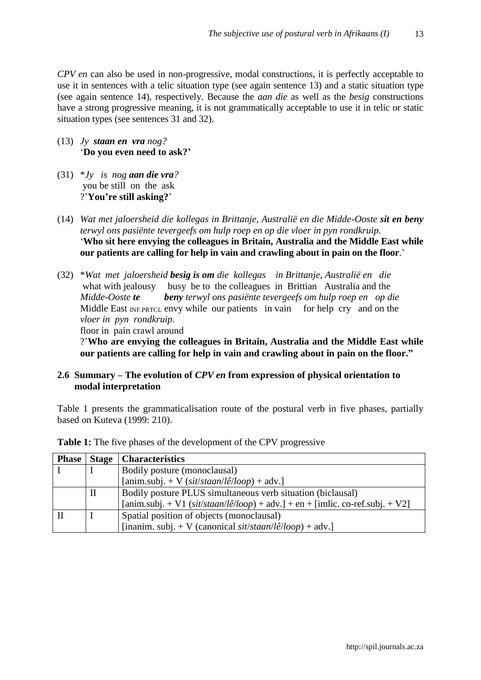*CPV en* can also be used in non-progressive, modal constructions, it is perfectly acceptable to use it in sentences with a telic situation type (see again sentence 13) and a static situation type (see again sentence 14), respectively. Because the *aan die* as well as the *besig* constructions have a strong progressive meaning, it is not grammatically acceptable to use it in telic or static situation types (see sentences 31 and 32).

- (13) *Jy staan en vra nog?* '**Do you even need to ask?'**
- (31)  $*Jy$  *is nog aan die vra?* you be still on the ask ?'**You're still asking?**'
- (14) *Wat met jaloersheid die kollegas in Brittanje, Australië en die Midde-Ooste sit en beny terwyl ons pasiënte tevergeefs om hulp roep en op die vloer in pyn rondkruip.* '**Who sit here envying the colleagues in Britain, Australia and the Middle East while our patients are calling for help in vain and crawling about in pain on the floor**.'
- (32) \**Wat met jaloersheid besig is om die kollegas in Brittanje, Australië en die* what with jealousy busy be to the colleagues in Brittian Australia and the *Midde-Ooste te beny terwyl ons pasiënte tevergeefs om hulp roep en op die*  Middle East  $_{\text{INERTCL}}$  envy while our patients in vain for help cry and on the *vloer in pyn rondkruip.*

floor in pain crawl around

?'**Who are envying the colleagues in Britain, Australia and the Middle East while our patients are calling for help in vain and crawling about in pain on the floor."**

### **2.6 Summary – The evolution of** *CPV en* **from expression of physical orientation to modal interpretation**

Table 1 presents the grammaticalisation route of the postural verb in five phases, partially based on Kuteva (1999: 210).

| <b>Phase</b> Stage | <b>Characteristics</b>                                                         |
|--------------------|--------------------------------------------------------------------------------|
|                    | Bodily posture (monoclausal)                                                   |
|                    | [anim.subj. + V (sit/staan/lê/loop) + adv.]                                    |
| II                 | Bodily posture PLUS simultaneous verb situation (biclausal)                    |
|                    | [anim.subj. + V1 (sit/staan/lê/loop) + adv.] + en + [imlic. co-ref.subj. + V2] |
|                    | Spatial position of objects (monoclausal)                                      |
|                    | [inanim. subj. + V (canonical sit/staan/lê/loop) + adv.]                       |

**Table 1:** The five phases of the development of the CPV progressive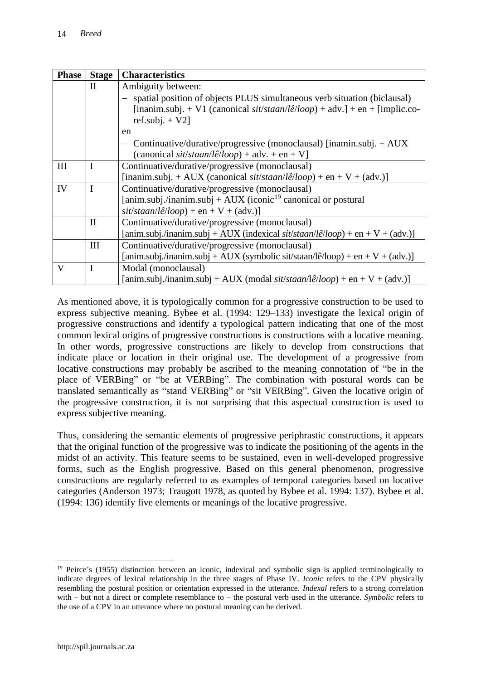| <b>Phase</b> | <b>Stage</b> | <b>Characteristics</b>                                                         |  |
|--------------|--------------|--------------------------------------------------------------------------------|--|
|              | $\mathbf{I}$ | Ambiguity between:                                                             |  |
|              |              | - spatial position of objects PLUS simultaneous verb situation (biclausal)     |  |
|              |              | [inanim.subj. + V1 (canonical sit/staan/lê/loop) + adv.] + en + [implic.co-    |  |
|              |              | ref.subj. $+$ V2]                                                              |  |
|              |              | en                                                                             |  |
|              |              | Continuative/durative/progressive (monoclausal) [inamin.subj. $+ AUX$          |  |
|              |              | (canonical sit/staan/lê/loop) + adv. + en + V]                                 |  |
| III          | I            | Continuative/durative/progressive (monoclausal)                                |  |
|              |              | [inanim.subj. + AUX (canonical sit/staan/lê/loop) + en + V + (adv.)]           |  |
| IV           | $\mathbf I$  | Continuative/durative/progressive (monoclausal)                                |  |
|              |              | [anim.subj./inanim.subj + AUX (iconic <sup>19</sup> canonical or postural      |  |
|              |              | $sit/staan/l\hat{e}/loop$ + en + V + (adv.)]                                   |  |
|              | $\mathbf{I}$ | Continuative/durative/progressive (monoclausal)                                |  |
|              |              | [anim.subj./inanim.subj + AUX (indexical sit/staan/lê/loop) + en + V + (adv.)] |  |
|              | Ш            | Continuative/durative/progressive (monoclausal)                                |  |
|              |              | [anim.subj./inanim.subj + AUX (symbolic sit/staan/lê/loop) + en + V + (adv.)]  |  |
| V            | I            | Modal (monoclausal)                                                            |  |
|              |              | [anim.subj./inanim.subj + AUX (modal sit/staan/lê/loop) + en + V + (adv.)]     |  |

As mentioned above, it is typologically common for a progressive construction to be used to express subjective meaning. Bybee et al. (1994: 129–133) investigate the lexical origin of progressive constructions and identify a typological pattern indicating that one of the most common lexical origins of progressive constructions is constructions with a locative meaning. In other words, progressive constructions are likely to develop from constructions that indicate place or location in their original use. The development of a progressive from locative constructions may probably be ascribed to the meaning connotation of "be in the place of VERBing" or "be at VERBing". The combination with postural words can be translated semantically as "stand VERBing" or "sit VERBing". Given the locative origin of the progressive construction, it is not surprising that this aspectual construction is used to express subjective meaning.

Thus, considering the semantic elements of progressive periphrastic constructions, it appears that the original function of the progressive was to indicate the positioning of the agents in the midst of an activity. This feature seems to be sustained, even in well-developed progressive forms, such as the English progressive. Based on this general phenomenon, progressive constructions are regularly referred to as examples of temporal categories based on locative categories (Anderson 1973; Traugott 1978, as quoted by Bybee et al. 1994: 137). Bybee et al. (1994: 136) identify five elements or meanings of the locative progressive.

 $\overline{a}$ <sup>19</sup> Peirce's (1955) distinction between an iconic, indexical and symbolic sign is applied terminologically to indicate degrees of lexical relationship in the three stages of Phase IV. *Iconic* refers to the CPV physically resembling the postural position or orientation expressed in the utterance. *Indexal* refers to a strong correlation with – but not a direct or complete resemblance to – the postural verb used in the utterance. *Symbolic* refers to the use of a CPV in an utterance where no postural meaning can be derived.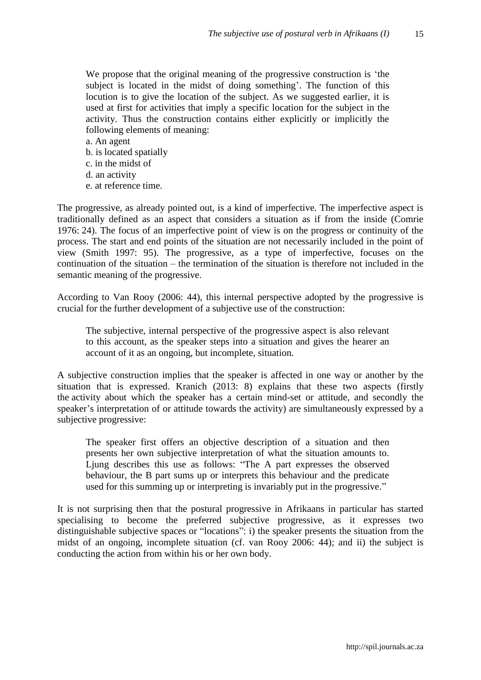We propose that the original meaning of the progressive construction is 'the subject is located in the midst of doing something'. The function of this locution is to give the location of the subject. As we suggested earlier, it is used at first for activities that imply a specific location for the subject in the activity. Thus the construction contains either explicitly or implicitly the following elements of meaning:

a. An agent b. is located spatially c. in the midst of d. an activity e. at reference time.

The progressive, as already pointed out, is a kind of imperfective. The imperfective aspect is traditionally defined as an aspect that considers a situation as if from the inside (Comrie 1976: 24). The focus of an imperfective point of view is on the progress or continuity of the process. The start and end points of the situation are not necessarily included in the point of view (Smith 1997: 95). The progressive, as a type of imperfective, focuses on the continuation of the situation – the termination of the situation is therefore not included in the semantic meaning of the progressive.

According to Van Rooy (2006: 44), this internal perspective adopted by the progressive is crucial for the further development of a subjective use of the construction:

The subjective, internal perspective of the progressive aspect is also relevant to this account, as the speaker steps into a situation and gives the hearer an account of it as an ongoing, but incomplete, situation.

A subjective construction implies that the speaker is affected in one way or another by the situation that is expressed. Kranich (2013: 8) explains that these two aspects (firstly the activity about which the speaker has a certain mind-set or attitude, and secondly the speaker's interpretation of or attitude towards the activity) are simultaneously expressed by a subjective progressive:

The speaker first offers an objective description of a situation and then presents her own subjective interpretation of what the situation amounts to. Ljung describes this use as follows: "The A part expresses the observed behaviour, the B part sums up or interprets this behaviour and the predicate used for this summing up or interpreting is invariably put in the progressive."

It is not surprising then that the postural progressive in Afrikaans in particular has started specialising to become the preferred subjective progressive, as it expresses two distinguishable subjective spaces or "locations": i) the speaker presents the situation from the midst of an ongoing, incomplete situation (cf. van Rooy 2006: 44); and ii) the subject is conducting the action from within his or her own body.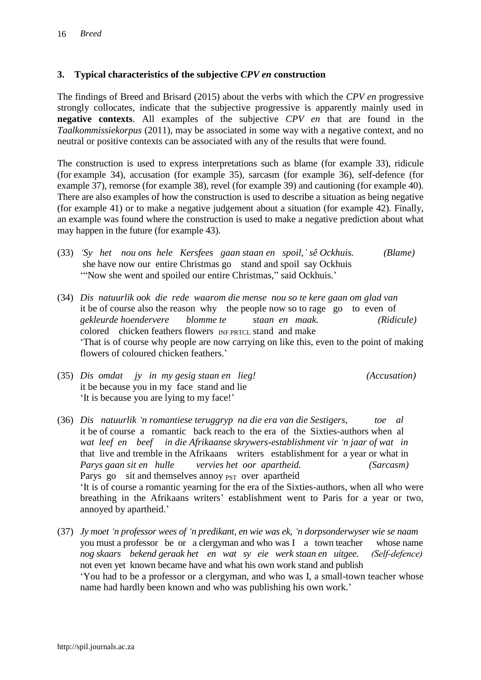#### **3. Typical characteristics of the subjective** *CPV en* **construction**

The findings of Breed and Brisard (2015) about the verbs with which the *CPV en* progressive strongly collocates, indicate that the subjective progressive is apparently mainly used in **negative contexts**. All examples of the subjective *CPV en* that are found in the *Taalkommissiekorpus* (2011), may be associated in some way with a negative context, and no neutral or positive contexts can be associated with any of the results that were found.

The construction is used to express interpretations such as blame (for example 33), ridicule (for example 34), accusation (for example 35), sarcasm (for example 36), self-defence (for example 37), remorse (for example 38), revel (for example 39) and cautioning (for example 40). There are also examples of how the construction is used to describe a situation as being negative (for example 41) or to make a negative judgement about a situation (for example 42). Finally, an example was found where the construction is used to make a negative prediction about what may happen in the future (for example 43).

- (33) *'Sy het nou ons hele Kersfees gaan staan en spoil,' sê Ockhuis. (Blame)* she have now our entire Christmas go stand and spoil say Ockhuis '"Now she went and spoiled our entire Christmas," said Ockhuis.'
- (34) *Dis natuurlik ook die rede waarom die mense nou so te kere gaan om glad van* it be of course also the reason why the people now so to rage go to even of *gekleurde hoendervere blomme te staan en maak. (Ridicule)*  colored chicken feathers flowers INF.PRTCL stand and make 'That is of course why people are now carrying on like this, even to the point of making flowers of coloured chicken feathers.'
- (35) *Dis omdat jy in my gesig staan en lieg! (Accusation)* it be because you in my face stand and lie 'It is because you are lying to my face!'
- (36) *Dis natuurlik 'n romantiese teruggryp na die era van die Sestigers, toe al*  it be of course a romantic back reach to the era of the Sixties-authors when al *wat leef en beef in die Afrikaanse skrywers-establishment vir 'n jaar of wat in*  that live and tremble in the Afrikaans writers establishment for a year or what in *Parys gaan sit en hulle vervies het oor apartheid. (Sarcasm)*  Parys go sit and themselves annoy <sub>PST</sub> over apartheid 'It is of course a romantic yearning for the era of the Sixties-authors, when all who were breathing in the Afrikaans writers' establishment went to Paris for a year or two, annoyed by apartheid.'
- (37) *Jy moet 'n professor wees of 'n predikant, en wie was ek, 'n dorpsonderwyser wie se naam*  you must a professor be or a clergyman and who was I a town teacher whose name *nog skaars bekend geraak het en wat sy eie werk staan en uitgee. (Self-defence)* not even yet known became have and what his own work stand and publish 'You had to be a professor or a clergyman, and who was I, a small-town teacher whose name had hardly been known and who was publishing his own work.'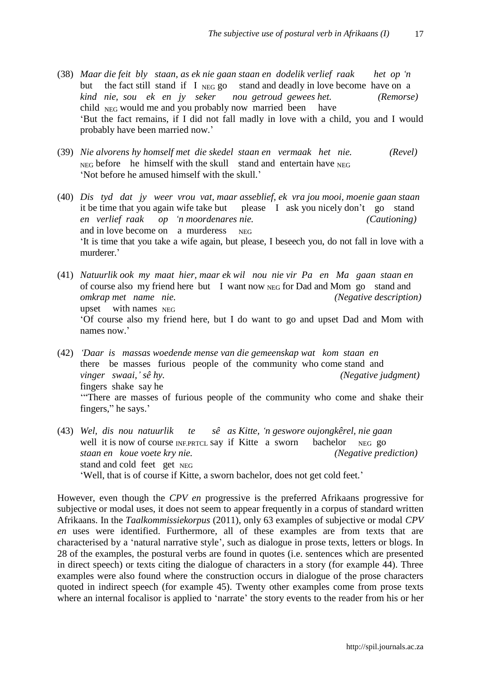- (38) *Maar die feit bly staan, as ek nie gaan staan en dodelik verlief raak het op 'n*  but the fact still stand if I  $_{NEG}$  go stand and deadly in love become have on a *kind nie, sou ek en jy seker nou getroud gewees het. (Remorse)*  child  $_{NEG}$  would me and you probably now married been have 'But the fact remains, if I did not fall madly in love with a child, you and I would probably have been married now.'
- (39) *Nie alvorens hy homself met die skedel staan en vermaak het nie. (Revel)*   $N_{\text{EG}}$  before he himself with the skull stand and entertain have  $N_{\text{EG}}$ 'Not before he amused himself with the skull.'
- (40) *Dis tyd dat jy weer vrou vat, maar asseblief, ek vra jou mooi, moenie gaan staan* it be time that you again wife take but please I ask you nicely don't go stand *en verlief raak op 'n moordenares nie. (Cautioning)* and in love become on a murderess NEG 'It is time that you take a wife again, but please, I beseech you, do not fall in love with a murderer.'
- (41) *Natuurlik ook my maat hier, maar ek wil nou nie vir Pa en Ma gaan staan en* of course also my friend here but I want now NEG for Dad and Mom go stand and *omkrap met name nie. (Negative description)*  upset with names  $_{\text{NEG}}$ 'Of course also my friend here, but I do want to go and upset Dad and Mom with names now.'
- (42) *'Daar is massas woedende mense van die gemeenskap wat kom staan en* there be masses furious people of the community who come stand and *vinger swaai,' sê hy. (Negative judgment)* fingers shake say he '"There are masses of furious people of the community who come and shake their fingers," he says.'
- (43) *Wel, dis nou natuurlik te sê as Kitte, 'n geswore oujongkêrel, nie gaan*  well it is now of course  $_{\text{INF.PRTCL}}$  say if Kitte a sworn bachelor  $_{\text{NEG}}$  go *staan en koue voete kry nie. (Negative prediction)* stand and cold feet get NEG 'Well, that is of course if Kitte, a sworn bachelor, does not get cold feet.'

However, even though the *CPV en* progressive is the preferred Afrikaans progressive for subjective or modal uses, it does not seem to appear frequently in a corpus of standard written Afrikaans. In the *Taalkommissiekorpus* (2011), only 63 examples of subjective or modal *CPV en* uses were identified. Furthermore, all of these examples are from texts that are characterised by a 'natural narrative style', such as dialogue in prose texts, letters or blogs. In 28 of the examples, the postural verbs are found in quotes (i.e. sentences which are presented in direct speech) or texts citing the dialogue of characters in a story (for example 44). Three examples were also found where the construction occurs in dialogue of the prose characters quoted in indirect speech (for example 45). Twenty other examples come from prose texts where an internal focalisor is applied to 'narrate' the story events to the reader from his or her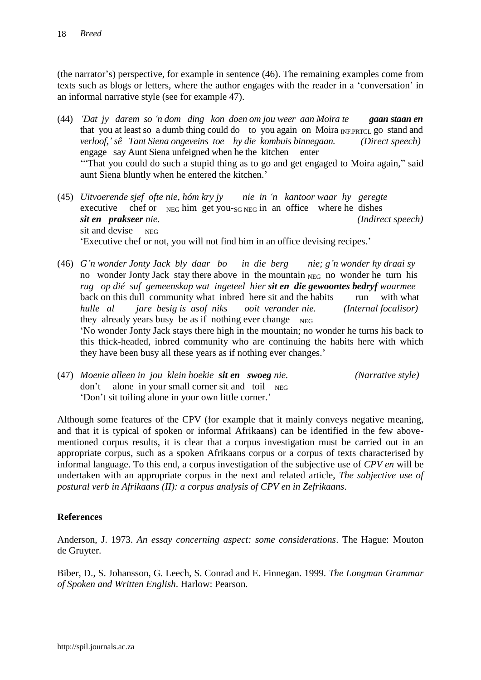(the narrator's) perspective, for example in sentence (46). The remaining examples come from texts such as blogs or letters, where the author engages with the reader in a 'conversation' in an informal narrative style (see for example 47).

- (44) *'Dat jy darem so 'n dom ding kon doen om jou weer aan Moira te gaan staan en* that you at least so a dumb thing could do to you again on Moira  $_{\text{INERTCL}}$  go stand and *verloof,' sê Tant Siena ongeveins toe hy die kombuis binnegaan. (Direct speech)* engage say Aunt Siena unfeigned when he the kitchen enter '"That you could do such a stupid thing as to go and get engaged to Moira again," said aunt Siena bluntly when he entered the kitchen.'
- (45) *Uitvoerende sjef ofte nie, hóm kry jy nie in 'n kantoor waar hy geregte*  executive chef or  $_{NEG}$  him get you-s<sub>G NEG</sub> in an office where he dishes *sit en prakseer nie. (Indirect speech)* sit and devise  $NEG$ 'Executive chef or not, you will not find him in an office devising recipes.'
- (46) *G'n wonder Jonty Jack bly daar bo in die berg nie; g'n wonder hy draai sy*  no wonder Jonty Jack stay there above in the mountain NEG no wonder he turn his *rug op dié suf gemeenskap wat ingeteel hier sit en die gewoontes bedryf waarmee*  back on this dull community what inbred here sit and the habits run with what *hulle al jare besig is asof niks ooit verander nie. (Internal focalisor)* they already years busy be as if nothing ever change  $_{\text{NEG}}$ 'No wonder Jonty Jack stays there high in the mountain; no wonder he turns his back to this thick-headed, inbred community who are continuing the habits here with which they have been busy all these years as if nothing ever changes.'
	-
- (47) *Moenie alleen in jou klein hoekie sit en swoeg nie. (Narrative style)* don't alone in your small corner sit and toil  $_{\text{NEG}}$ 'Don't sit toiling alone in your own little corner.'

Although some features of the CPV (for example that it mainly conveys negative meaning, and that it is typical of spoken or informal Afrikaans) can be identified in the few abovementioned corpus results, it is clear that a corpus investigation must be carried out in an appropriate corpus, such as a spoken Afrikaans corpus or a corpus of texts characterised by informal language. To this end, a corpus investigation of the subjective use of *CPV en* will be undertaken with an appropriate corpus in the next and related article, *The subjective use of postural verb in Afrikaans (II): a corpus analysis of CPV en in Zefrikaans*.

### **References**

Anderson, J. 1973. *An essay concerning aspect: some considerations*. The Hague: Mouton de Gruyter.

Biber, D., S. Johansson, G. Leech, S. Conrad and E. Finnegan. 1999. *The Longman Grammar of Spoken and Written English*. Harlow: Pearson.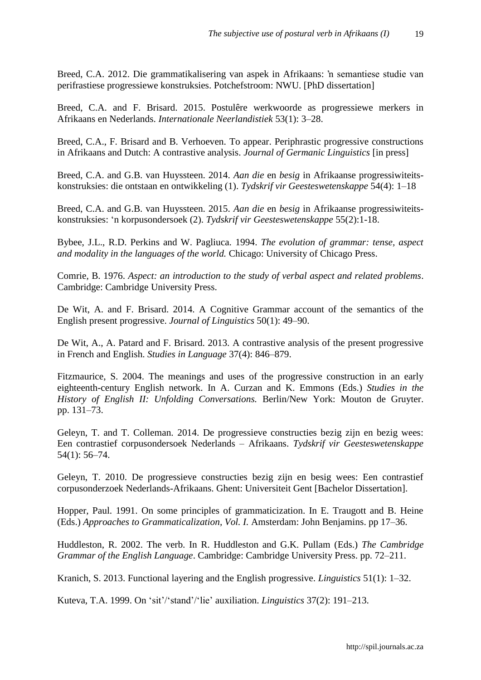Breed, C.A. 2012. Die grammatikalisering van aspek in Afrikaans: 'n semantiese studie van perifrastiese progressiewe konstruksies. Potchefstroom: NWU. [PhD dissertation]

Breed, C.A. and F. Brisard. 2015. Postulêre werkwoorde as progressiewe merkers in Afrikaans en Nederlands. *Internationale Neerlandistiek* 53(1): 3–28.

Breed, C.A., F. Brisard and B. Verhoeven. To appear. Periphrastic progressive constructions in Afrikaans and Dutch: A contrastive analysis. *Journal of Germanic Linguistics* [in press]

Breed, C.A. and G.B. van Huyssteen. 2014. *Aan die* en *besig* in Afrikaanse progressiwiteitskonstruksies: die ontstaan en ontwikkeling (1). *Tydskrif vir Geesteswetenskappe* 54(4): 1–18

Breed, C.A. and G.B. van Huyssteen. 2015. *Aan die* en *besig* in Afrikaanse progressiwiteitskonstruksies: 'n korpusondersoek (2). *Tydskrif vir Geesteswetenskappe* 55(2):1-18.

Bybee, J.L., R.D. Perkins and W. Pagliuca. 1994. *The evolution of grammar: tense, aspect and modality in the languages of the world.* Chicago: University of Chicago Press.

Comrie, B. 1976. *Aspect: an introduction to the study of verbal aspect and related problems*. Cambridge: Cambridge University Press.

De Wit, A. and F. Brisard. 2014. A Cognitive Grammar account of the semantics of the English present progressive. *Journal of Linguistics* 50(1): 49–90.

De Wit, A., A. Patard and F. Brisard. 2013. A contrastive analysis of the present progressive in French and English. *Studies in Language* 37(4): 846–879.

Fitzmaurice, S. 2004. The meanings and uses of the progressive construction in an early eighteenth-century English network. In A. Curzan and K. Emmons (Eds.) *Studies in the History of English II: Unfolding Conversations.* Berlin/New York: Mouton de Gruyter. pp. 131–73.

Geleyn, T. and T. Colleman. 2014. De progressieve constructies bezig zijn en bezig wees: Een contrastief corpusondersoek Nederlands – Afrikaans. *Tydskrif vir Geesteswetenskappe* 54(1): 56–74.

Geleyn, T. 2010. De progressieve constructies bezig zijn en besig wees: Een contrastief corpusonderzoek Nederlands-Afrikaans. Ghent: Universiteit Gent [Bachelor Dissertation].

Hopper, Paul. 1991. On some principles of grammaticization. In E. Traugott and B. Heine (Eds.) *Approaches to Grammaticalization, Vol. I.* Amsterdam: John Benjamins. pp 17–36.

Huddleston, R. 2002. The verb. In R. Huddleston and G.K. Pullam (Eds.) *The Cambridge Grammar of the English Language*. Cambridge: Cambridge University Press. pp. 72–211.

Kranich, S. 2013. Functional layering and the English progressive. *Linguistics* 51(1): 1–32.

Kuteva, T.A. 1999. On 'sit'/'stand'/'lie' auxiliation. *Linguistics* 37(2): 191–213.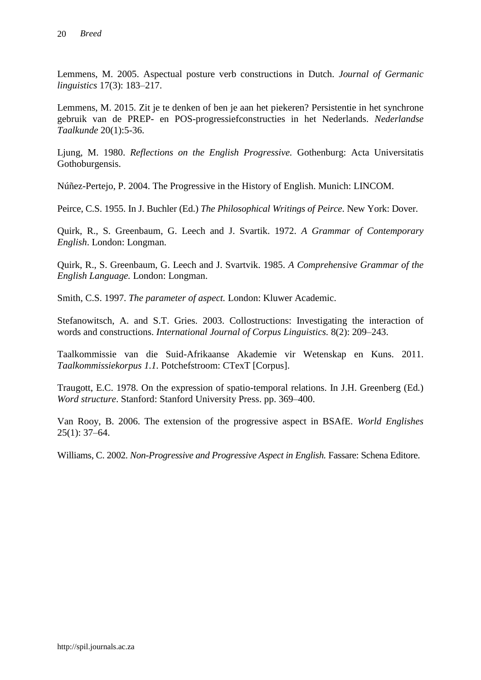Lemmens, M. 2005. Aspectual posture verb constructions in Dutch. *Journal of Germanic linguistics* 17(3): 183–217.

Lemmens, M. 2015. Zit je te denken of ben je aan het piekeren? Persistentie in het synchrone gebruik van de PREP- en POS-progressiefconstructies in het Nederlands. *Nederlandse Taalkunde* 20(1):5-36.

Ljung, M. 1980. *Reflections on the English Progressive.* Gothenburg: Acta Universitatis Gothoburgensis.

Núñez-Pertejo, P. 2004. The Progressive in the History of English. Munich: LINCOM.

Peirce, C.S. 1955. In J. Buchler (Ed.) *The Philosophical Writings of Peirce*. New York: Dover.

Quirk, R., S. Greenbaum, G. Leech and J. Svartik. 1972. *A Grammar of Contemporary English*. London: Longman.

Quirk, R., S. Greenbaum, G. Leech and J. Svartvik. 1985. *A Comprehensive Grammar of the English Language.* London: Longman.

Smith, C.S. 1997. *The parameter of aspect.* London: Kluwer Academic.

Stefanowitsch, A. and S.T. Gries. 2003. Collostructions: Investigating the interaction of words and constructions. *International Journal of Corpus Linguistics.* 8(2): 209–243.

Taalkommissie van die Suid-Afrikaanse Akademie vir Wetenskap en Kuns. 2011. *Taalkommissiekorpus 1.1.* Potchefstroom: CTexT [Corpus].

Traugott, E.C. 1978. On the expression of spatio-temporal relations. In J.H. Greenberg (Ed*.*) *Word structure*. Stanford: Stanford University Press. pp. 369–400.

Van Rooy, B. 2006. The extension of the progressive aspect in BSAfE. *World Englishes*  25(1): 37–64.

Williams, C. 2002. *Non-Progressive and Progressive Aspect in English.* Fassare: Schena Editore.